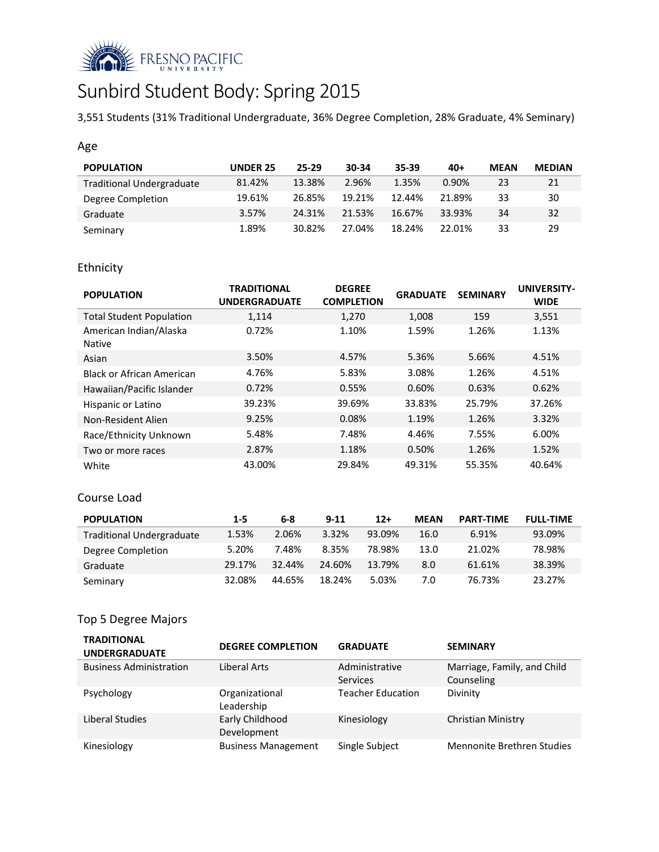

# Sunbird Student Body: Spring 2015

3,551 Students (31% Traditional Undergraduate, 36% Degree Completion, 28% Graduate, 4% Seminary)

## Age

| <b>POPULATION</b>                | <b>UNDER 25</b> | 25-29  | 30-34  | $35 - 39$ | $40+$  | <b>MEAN</b> | <b>MEDIAN</b> |
|----------------------------------|-----------------|--------|--------|-----------|--------|-------------|---------------|
| <b>Traditional Undergraduate</b> | 81.42%          | 13.38% | 2.96%  | 1.35%     | 0.90%  | 23          | 21            |
| Degree Completion                | 19.61%          | 26.85% | 19.21% | 12.44%    | 21.89% | 33          | 30            |
| Graduate                         | 3.57%           | 24.31% | 21.53% | 16.67%    | 33.93% | 34          | 32            |
| Seminary                         | 1.89%           | 30.82% | 27.04% | 18.24%    | 22.01% | 33          | 29            |

# Ethnicity

| <b>POPULATION</b>                       | <b>TRADITIONAL</b><br><b>UNDERGRADUATE</b> | <b>DEGREE</b><br><b>COMPLETION</b> | <b>GRADUATE</b> | <b>SEMINARY</b> | <b>UNIVERSITY-</b><br><b>WIDE</b> |
|-----------------------------------------|--------------------------------------------|------------------------------------|-----------------|-----------------|-----------------------------------|
| <b>Total Student Population</b>         | 1,114                                      | 1,270                              | 1,008           | 159             | 3,551                             |
| American Indian/Alaska<br><b>Native</b> | 0.72%                                      | 1.10%                              | 1.59%           | 1.26%           | 1.13%                             |
| Asian                                   | 3.50%                                      | 4.57%                              | 5.36%           | 5.66%           | 4.51%                             |
| Black or African American               | 4.76%                                      | 5.83%                              | 3.08%           | 1.26%           | 4.51%                             |
| Hawaiian/Pacific Islander               | 0.72%                                      | 0.55%                              | 0.60%           | 0.63%           | 0.62%                             |
| Hispanic or Latino                      | 39.23%                                     | 39.69%                             | 33.83%          | 25.79%          | 37.26%                            |
| Non-Resident Alien                      | 9.25%                                      | 0.08%                              | 1.19%           | 1.26%           | 3.32%                             |
| Race/Ethnicity Unknown                  | 5.48%                                      | 7.48%                              | 4.46%           | 7.55%           | 6.00%                             |
| Two or more races                       | 2.87%                                      | 1.18%                              | 0.50%           | 1.26%           | 1.52%                             |
| White                                   | 43.00%                                     | 29.84%                             | 49.31%          | 55.35%          | 40.64%                            |

### Course Load

| <b>POPULATION</b>                | $1 - 5$ | 6-8    | $9 - 11$ | $12+$  | <b>MEAN</b> | <b>PART-TIME</b> | <b>FULL-TIME</b> |
|----------------------------------|---------|--------|----------|--------|-------------|------------------|------------------|
| <b>Traditional Undergraduate</b> | 1.53%   | 2.06%  | 3.32%    | 93.09% | 16.0        | 6.91%            | 93.09%           |
| Degree Completion                | 5.20%   | 7.48%  | 8.35%    | 78.98% | 13.0        | 21.02%           | 78.98%           |
| Graduate                         | 29.17%  | 32.44% | 24.60%   | 13.79% | 8.0         | 61.61%           | 38.39%           |
| Seminary                         | 32.08%  | 44.65% | 18.24%   | 5.03%  | 7.0         | 76.73%           | 23.27%           |

# Top 5 Degree Majors

| <b>TRADITIONAL</b><br><b>UNDERGRADUATE</b> | <b>DEGREE COMPLETION</b>       | <b>GRADUATE</b>            | <b>SEMINARY</b>                           |
|--------------------------------------------|--------------------------------|----------------------------|-------------------------------------------|
| <b>Business Administration</b>             | Liberal Arts                   | Administrative<br>Services | Marriage, Family, and Child<br>Counseling |
| Psychology                                 | Organizational<br>Leadership   | <b>Teacher Education</b>   | Divinity                                  |
| Liberal Studies                            | Early Childhood<br>Development | Kinesiology                | <b>Christian Ministry</b>                 |
| Kinesiology                                | <b>Business Management</b>     | Single Subject             | Mennonite Brethren Studies                |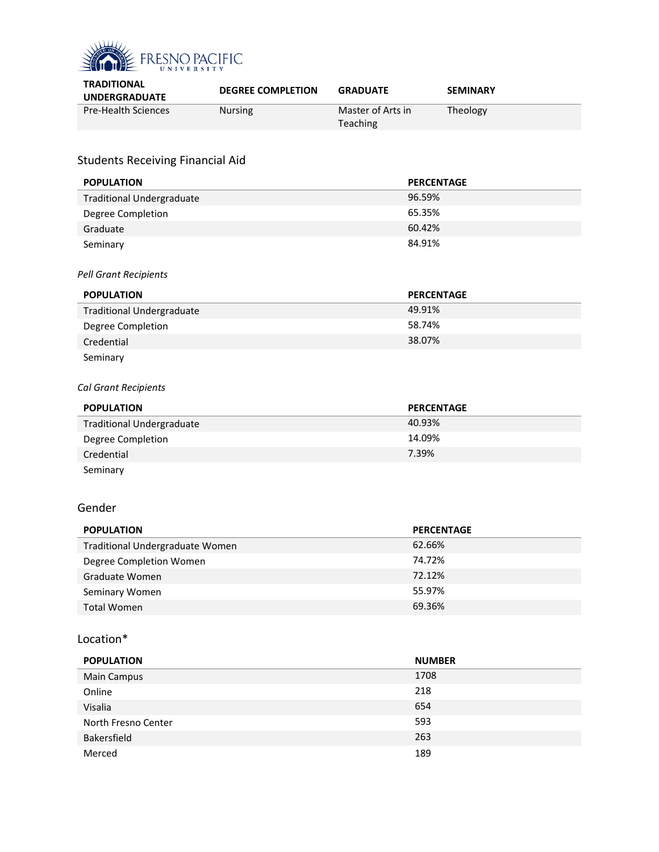

| <b>TRADITIONAL</b><br><b>UNDERGRADUATE</b> | <b>DEGREE COMPLETION</b> | <b>GRADUATE</b>               | <b>SEMINARY</b> |
|--------------------------------------------|--------------------------|-------------------------------|-----------------|
| <b>Pre-Health Sciences</b>                 | <b>Nursing</b>           | Master of Arts in<br>Teaching | Theology        |

# Students Receiving Financial Aid

| <b>POPULATION</b>                | <b>PERCENTAGE</b> |
|----------------------------------|-------------------|
| <b>Traditional Undergraduate</b> | 96.59%            |
| Degree Completion                | 65.35%            |
| Graduate                         | 60.42%            |
| Seminary                         | 84.91%            |

#### *Pell Grant Recipients*

| <b>POPULATION</b>                | <b>PERCENTAGE</b> |
|----------------------------------|-------------------|
| <b>Traditional Undergraduate</b> | 49.91%            |
| Degree Completion                | 58.74%            |
| Credential                       | 38.07%            |
| Seminary                         |                   |

# *Cal Grant Recipients*

| <b>POPULATION</b>                | <b>PERCENTAGE</b> |
|----------------------------------|-------------------|
| <b>Traditional Undergraduate</b> | 40.93%            |
| Degree Completion                | 14.09%            |
| Credential                       | 7.39%             |
| Seminary                         |                   |

# Gender

| <b>POPULATION</b>               | <b>PERCENTAGE</b> |
|---------------------------------|-------------------|
| Traditional Undergraduate Women | 62.66%            |
| Degree Completion Women         | 74.72%            |
| Graduate Women                  | 72.12%            |
| Seminary Women                  | 55.97%            |
| <b>Total Women</b>              | 69.36%            |

# Location\*

| <b>POPULATION</b>   | <b>NUMBER</b> |
|---------------------|---------------|
| <b>Main Campus</b>  | 1708          |
| Online              | 218           |
| Visalia             | 654           |
| North Fresno Center | 593           |
| Bakersfield         | 263           |
| Merced              | 189           |